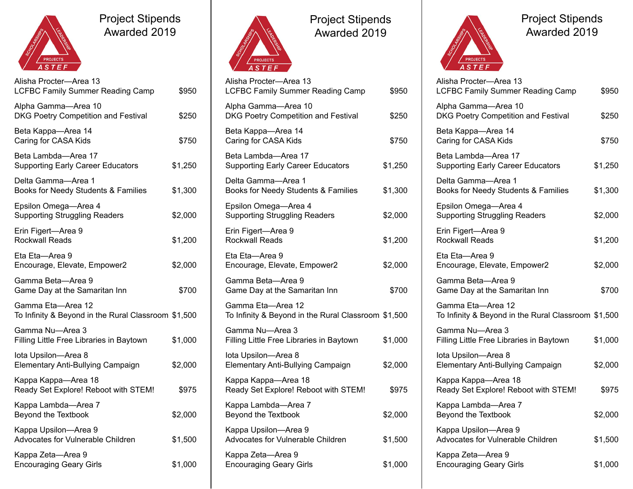

## Project Stipends Awarded 2019

| Alisha Procter-Area 13<br><b>LCFBC Family Summer Reading Camp</b>        | \$950   |
|--------------------------------------------------------------------------|---------|
| Alpha Gamma-Area 10<br>DKG Poetry Competition and Festival               | \$250   |
| Beta Kappa-Area 14<br>Caring for CASA Kids                               | \$750   |
| Beta Lambda—Area 17<br><b>Supporting Early Career Educators</b>          | \$1,250 |
| Delta Gamma-Area 1<br>Books for Needy Students & Families                | \$1,300 |
| Epsilon Omega-Area 4<br><b>Supporting Struggling Readers</b>             | \$2,000 |
| Erin Figert-Area 9<br><b>Rockwall Reads</b>                              | \$1,200 |
| Eta Eta-Area 9<br>Encourage, Elevate, Empower2                           | \$2,000 |
| Gamma Beta—Area 9<br>Game Day at the Samaritan Inn                       | \$700   |
| Gamma Eta—Area 12<br>To Infinity & Beyond in the Rural Classroom \$1,500 |         |
| Gamma Nu-Area 3<br>Filling Little Free Libraries in Baytown              | \$1,000 |
| lota Upsilon-Area 8<br><b>Elementary Anti-Bullying Campaign</b>          | \$2,000 |
| Kappa Kappa-Area 18<br>Ready Set Explore! Reboot with STEM!              | \$975   |
| Kappa Lambda-Area 7<br>Beyond the Textbook                               | \$2,000 |
| Kappa Upsilon-Area 9<br>Advocates for Vulnerable Children                | \$1,500 |
| Kappa Zeta-Area 9<br><b>Encouraging Geary Girls</b>                      | \$1,000 |



Project Stipends Awarded 2019

| / ASTEF                                                                  |         |
|--------------------------------------------------------------------------|---------|
| Alisha Procter-Area 13<br><b>LCFBC Family Summer Reading Camp</b>        | \$950   |
| Alpha Gamma-Area 10<br>DKG Poetry Competition and Festival               | \$250   |
| Beta Kappa-Area 14<br>Caring for CASA Kids                               | \$750   |
| Beta Lambda-Area 17<br><b>Supporting Early Career Educators</b>          | \$1,250 |
| Delta Gamma-Area 1<br>Books for Needy Students & Families                | \$1,300 |
| Epsilon Omega-Area 4<br><b>Supporting Struggling Readers</b>             | \$2,000 |
| Erin Figert-Area 9<br><b>Rockwall Reads</b>                              | \$1,200 |
| Eta Eta-Area 9<br>Encourage, Elevate, Empower2                           | \$2,000 |
| Gamma Beta-Area 9<br>Game Day at the Samaritan Inn                       | \$700   |
| Gamma Eta-Area 12<br>To Infinity & Beyond in the Rural Classroom \$1,500 |         |
| Gamma Nu-Area 3<br>Filling Little Free Libraries in Baytown              | \$1,000 |
| lota Upsilon-Area 8<br>Elementary Anti-Bullying Campaign                 | \$2,000 |
| Kappa Kappa-Area 18<br>Ready Set Explore! Reboot with STEM!              | \$975   |
| Kappa Lambda-Area 7<br>Beyond the Textbook                               | \$2,000 |
| Kappa Upsilon-Area 9<br>Advocates for Vulnerable Children                | \$1,500 |
| Kappa Zeta-Area 9                                                        |         |

Encouraging Geary Girls \$1,000



Project Stipends Awarded 2019

| Alisha Procter-Area 13<br>LCFBC Family Summer Reading Camp               | \$950   |
|--------------------------------------------------------------------------|---------|
| Alpha Gamma-Area 10<br>DKG Poetry Competition and Festival               | \$250   |
| Beta Kappa-Area 14<br>Caring for CASA Kids                               | \$750   |
| Beta Lambda-Area 17<br><b>Supporting Early Career Educators</b>          | \$1,250 |
| Delta Gamma—Area 1<br>Books for Needy Students & Families                | \$1,300 |
| Epsilon Omega-Area 4<br><b>Supporting Struggling Readers</b>             | \$2,000 |
| Erin Figert-Area 9<br><b>Rockwall Reads</b>                              | \$1,200 |
| Eta Eta-Area 9<br>Encourage, Elevate, Empower2                           | \$2,000 |
| Gamma Beta-Area 9<br>Game Day at the Samaritan Inn                       | \$700   |
| Gamma Eta-Area 12<br>To Infinity & Beyond in the Rural Classroom \$1,500 |         |
| Gamma Nu-Area 3<br>Filling Little Free Libraries in Baytown              | \$1,000 |
| lota Upsilon-Area 8<br><b>Elementary Anti-Bullying Campaign</b>          | \$2,000 |
| Kappa Kappa-Area 18<br>Ready Set Explore! Reboot with STEM!              | \$975   |
| Kappa Lambda-Area 7<br>Beyond the Textbook                               | \$2,000 |
| Kappa Upsilon-Area 9<br>Advocates for Vulnerable Children                | \$1,500 |
| Kappa Zeta-Area 9<br><b>Encouraging Geary Girls</b>                      | \$1,000 |
|                                                                          |         |